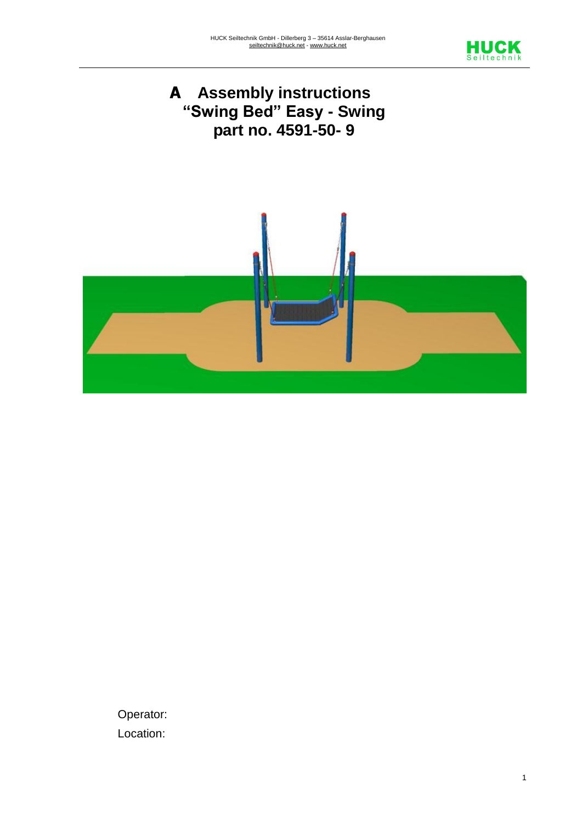





Operator: Location: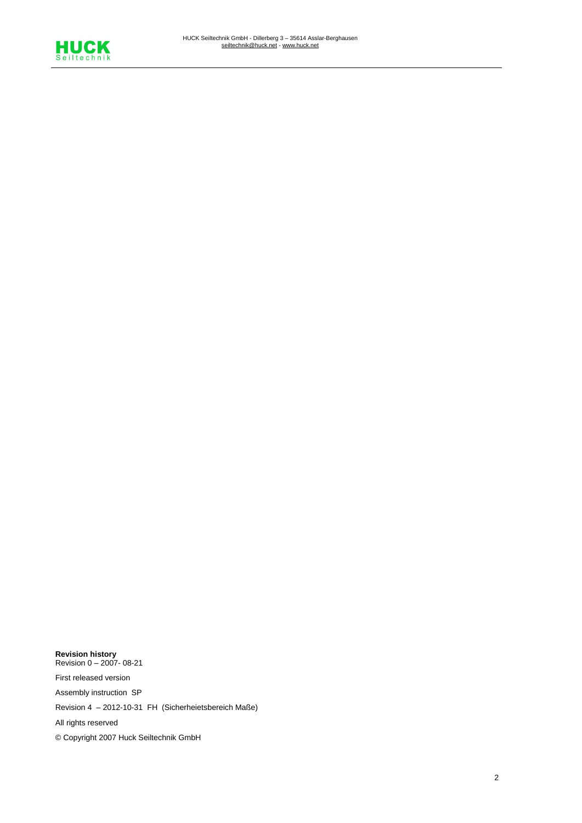

**Revision history** Revision 0 – 2007- 08-21 First released version Assembly instruction SP Revision 4 – 2012-10-31 FH (Sicherheietsbereich Maße) All rights reserved © Copyright 2007 Huck Seiltechnik GmbH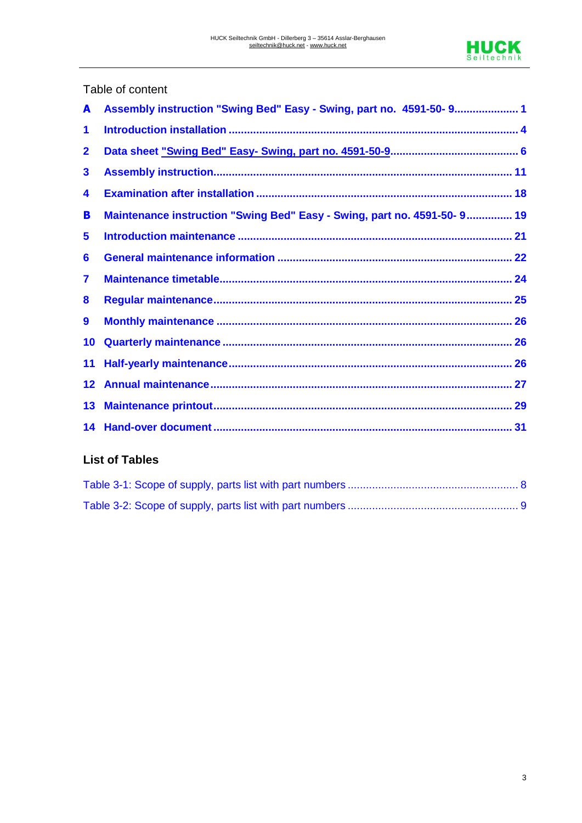

## Table of content

| A                       | Assembly instruction "Swing Bed" Easy - Swing, part no. 4591-50-9 1     |  |
|-------------------------|-------------------------------------------------------------------------|--|
| 1                       |                                                                         |  |
| $\overline{\mathbf{2}}$ |                                                                         |  |
| $\mathbf{3}$            |                                                                         |  |
| 4                       |                                                                         |  |
| B                       | Maintenance instruction "Swing Bed" Easy - Swing, part no. 4591-50-9 19 |  |
| 5                       |                                                                         |  |
| 6                       |                                                                         |  |
| 7                       |                                                                         |  |
| 8                       |                                                                         |  |
| $\boldsymbol{9}$        |                                                                         |  |
| 10                      |                                                                         |  |
| 11                      |                                                                         |  |
| 12                      |                                                                         |  |
| 13                      |                                                                         |  |
|                         |                                                                         |  |

#### **List of Tables**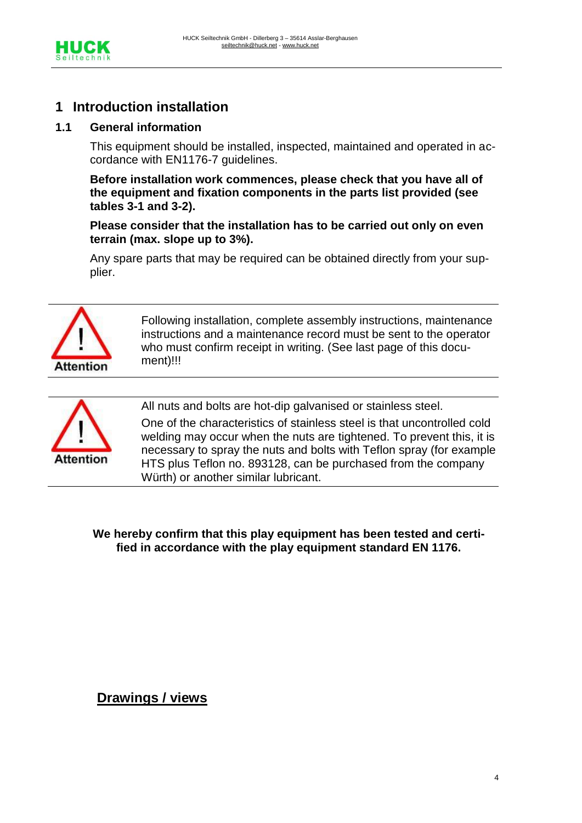

## **1 Introduction installation**

#### **1.1 General information**

This equipment should be installed, inspected, maintained and operated in accordance with EN1176-7 guidelines.

**Before installation work commences, please check that you have all of the equipment and fixation components in the parts list provided (see tables 3-1 and 3-2).**

**Please consider that the installation has to be carried out only on even terrain (max. slope up to 3%).** 

Any spare parts that may be required can be obtained directly from your supplier.



Following installation, complete assembly instructions, maintenance instructions and a maintenance record must be sent to the operator who must confirm receipt in writing. (See last page of this document)!!!



All nuts and bolts are hot-dip galvanised or stainless steel.

One of the characteristics of stainless steel is that uncontrolled cold welding may occur when the nuts are tightened. To prevent this, it is necessary to spray the nuts and bolts with Teflon spray (for example HTS plus Teflon no. 893128, can be purchased from the company Würth) or another similar lubricant.

**We hereby confirm that this play equipment has been tested and certified in accordance with the play equipment standard EN 1176.**

## **Drawings / views**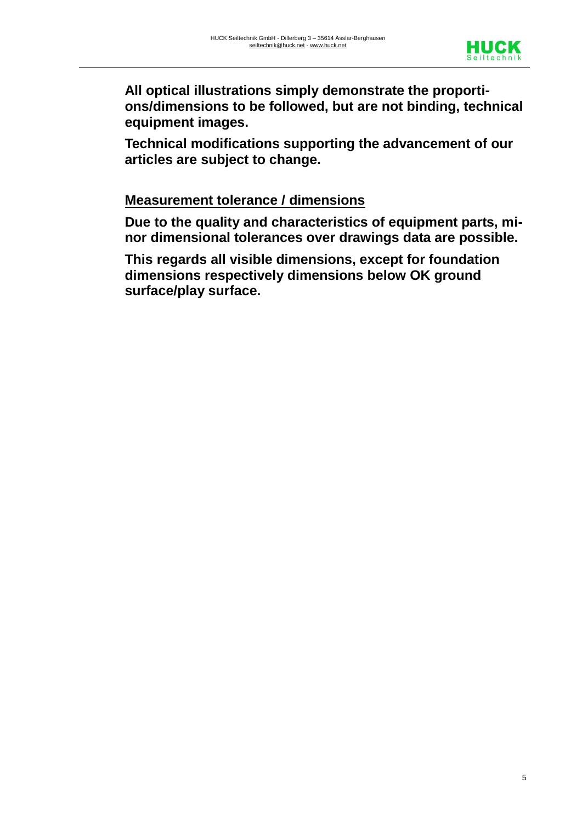

**All optical illustrations simply demonstrate the proportions/dimensions to be followed, but are not binding, technical equipment images.** 

**Technical modifications supporting the advancement of our articles are subject to change.** 

## **Measurement tolerance / dimensions**

**Due to the quality and characteristics of equipment parts, minor dimensional tolerances over drawings data are possible.** 

**This regards all visible dimensions, except for foundation dimensions respectively dimensions below OK ground surface/play surface.**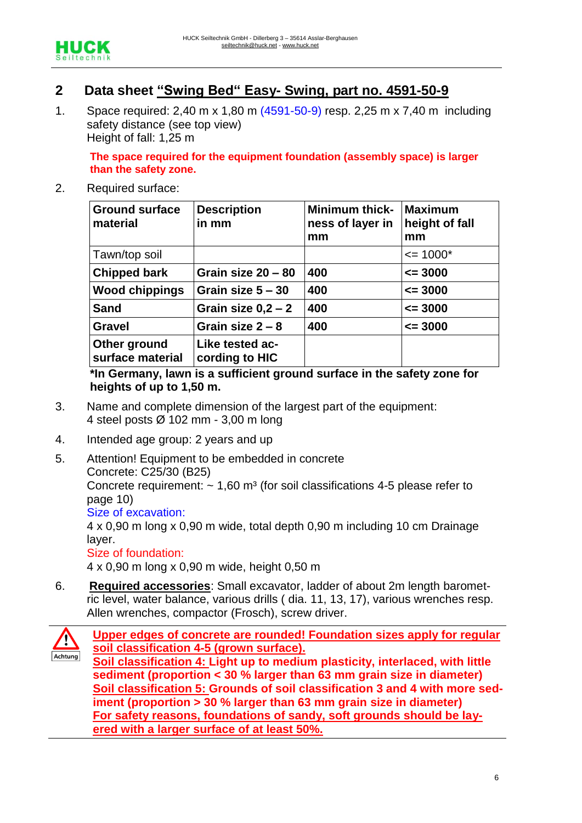

## **2 Data sheet "Swing Bed" Easy- Swing, part no. 4591-50-9**

1. Space required: 2,40 m x 1,80 m (4591-50-9) resp. 2,25 m x 7,40 m including safety distance (see top view) Height of fall: 1,25 m

**The space required for the equipment foundation (assembly space) is larger than the safety zone.**

2. Required surface:

| <b>Ground surface</b><br>material | <b>Description</b><br>in mm       | <b>Minimum thick-</b><br>ness of layer in<br>mm | <b>Maximum</b><br>height of fall<br>mm |
|-----------------------------------|-----------------------------------|-------------------------------------------------|----------------------------------------|
| Tawn/top soil                     |                                   |                                                 | $\le$ 1000*                            |
| <b>Chipped bark</b>               | Grain size 20 - 80                | 400                                             | $\leq$ 3000                            |
| <b>Wood chippings</b>             | Grain size $5 - 30$               | 400                                             | $\leq$ 3000                            |
| <b>Sand</b>                       | Grain size $0,2-2$                | 400                                             | $\leq$ 3000                            |
| <b>Gravel</b>                     | Grain size $2 - 8$                | 400                                             | $\leq$ 3000                            |
| Other ground<br>surface material  | Like tested ac-<br>cording to HIC |                                                 |                                        |

**\*In Germany, lawn is a sufficient ground surface in the safety zone for heights of up to 1,50 m.**

- 3. Name and complete dimension of the largest part of the equipment: 4 steel posts Ø 102 mm - 3,00 m long
- 4. Intended age group: 2 years and up
- 5. Attention! Equipment to be embedded in concrete Concrete: C25/30 (B25) Concrete requirement:  $\sim 1.60$  m<sup>3</sup> (for soil classifications 4-5 please refer to page 10) Size of excavation: 4 x 0,90 m long x 0,90 m wide, total depth 0,90 m including 10 cm Drainage layer. Size of foundation: 4 x 0,90 m long x 0,90 m wide, height 0,50 m
- 6. **Required accessories**: Small excavator, ladder of about 2m length barometric level, water balance, various drills ( dia. 11, 13, 17), various wrenches resp. Allen wrenches, compactor (Frosch), screw driver.

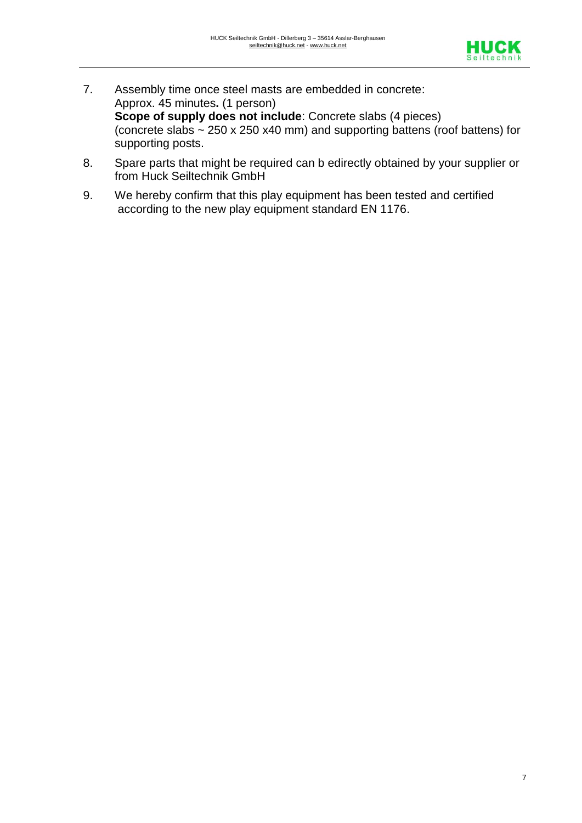

- 7. Assembly time once steel masts are embedded in concrete: Approx. 45 minutes**.** (1 person) **Scope of supply does not include**: Concrete slabs (4 pieces) (concrete slabs ~ 250 x 250 x40 mm) and supporting battens (roof battens) for supporting posts.
- 8. Spare parts that might be required can b edirectly obtained by your supplier or from Huck Seiltechnik GmbH
- 9. We hereby confirm that this play equipment has been tested and certified according to the new play equipment standard EN 1176.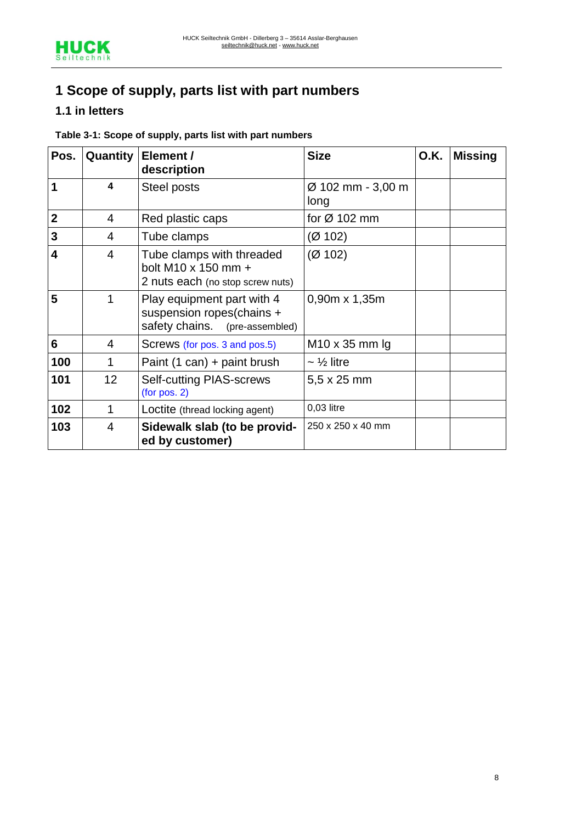# **1 Scope of supply, parts list with part numbers**

## **1.1 in letters**

#### **Table 3-1: Scope of supply, parts list with part numbers**

| Pos.                    | Quantity | Element /<br>description                                                                  | <b>Size</b>               | <b>O.K.</b> | <b>Missing</b> |
|-------------------------|----------|-------------------------------------------------------------------------------------------|---------------------------|-------------|----------------|
| 1                       | 4        | Steel posts                                                                               | Ø 102 mm - 3,00 m<br>long |             |                |
| $\overline{2}$          | 4        | Red plastic caps                                                                          | for $\varnothing$ 102 mm  |             |                |
| $\mathbf{3}$            | 4        | Tube clamps                                                                               | (Ø 102)                   |             |                |
| $\overline{\mathbf{4}}$ | 4        | Tube clamps with threaded<br>bolt M10 x 150 mm +<br>2 nuts each (no stop screw nuts)      | (Ø 102)                   |             |                |
| 5                       | 1        | Play equipment part with 4<br>suspension ropes(chains +<br>safety chains. (pre-assembled) | $0.90m \times 1,35m$      |             |                |
| 6                       | 4        | Screws (for pos. 3 and pos. 5)                                                            | $M10 \times 35$ mm lg     |             |                |
| 100                     | 1        | Paint $(1 can) +$ paint brush                                                             | $\sim$ 1/2 litre          |             |                |
| 101                     | 12       | <b>Self-cutting PIAS-screws</b><br>(for pos. 2)                                           | 5,5 x 25 mm               |             |                |
| 102                     | 1        | Loctite (thread locking agent)                                                            | 0,03 litre                |             |                |
| 103                     | 4        | Sidewalk slab (to be provid-<br>ed by customer)                                           | 250 x 250 x 40 mm         |             |                |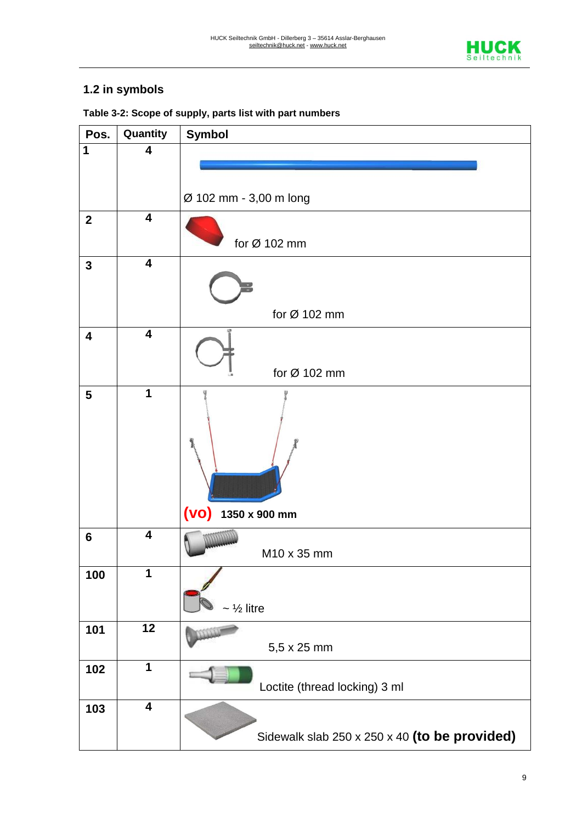

## **1.2 in symbols**

| Pos.                    | Quantity                | <b>Symbol</b>                                 |  |  |  |  |  |
|-------------------------|-------------------------|-----------------------------------------------|--|--|--|--|--|
| $\overline{1}$          | 4                       |                                               |  |  |  |  |  |
|                         |                         |                                               |  |  |  |  |  |
|                         |                         |                                               |  |  |  |  |  |
|                         |                         | Ø 102 mm - 3,00 m long                        |  |  |  |  |  |
| $\boldsymbol{2}$        | $\overline{\mathbf{4}}$ |                                               |  |  |  |  |  |
|                         |                         | for $\varnothing$ 102 mm                      |  |  |  |  |  |
| $\mathbf{3}$            | $\overline{\mathbf{4}}$ |                                               |  |  |  |  |  |
|                         |                         |                                               |  |  |  |  |  |
|                         |                         | for $Ø$ 102 mm                                |  |  |  |  |  |
|                         | $\overline{\mathbf{4}}$ |                                               |  |  |  |  |  |
| $\overline{\mathbf{4}}$ |                         |                                               |  |  |  |  |  |
|                         |                         |                                               |  |  |  |  |  |
|                         |                         | for Ø 102 mm                                  |  |  |  |  |  |
| $5\phantom{1}$          | 1                       |                                               |  |  |  |  |  |
|                         |                         |                                               |  |  |  |  |  |
|                         |                         | $(VO)$ 1350 x 900 mm                          |  |  |  |  |  |
| $6\phantom{1}6$         | $\overline{4}$          | M10 x 35 mm                                   |  |  |  |  |  |
| 100                     | 1                       | $\sim$ 1/ <sub>2</sub> litre                  |  |  |  |  |  |
| 101                     | $\overline{12}$         |                                               |  |  |  |  |  |
|                         |                         | 5,5 x 25 mm                                   |  |  |  |  |  |
| 102                     | $\mathbf 1$             | Loctite (thread locking) 3 ml                 |  |  |  |  |  |
| 103                     | $\overline{\mathbf{4}}$ |                                               |  |  |  |  |  |
|                         |                         | Sidewalk slab 250 x 250 x 40 (to be provided) |  |  |  |  |  |

**Table 3-2: Scope of supply, parts list with part numbers**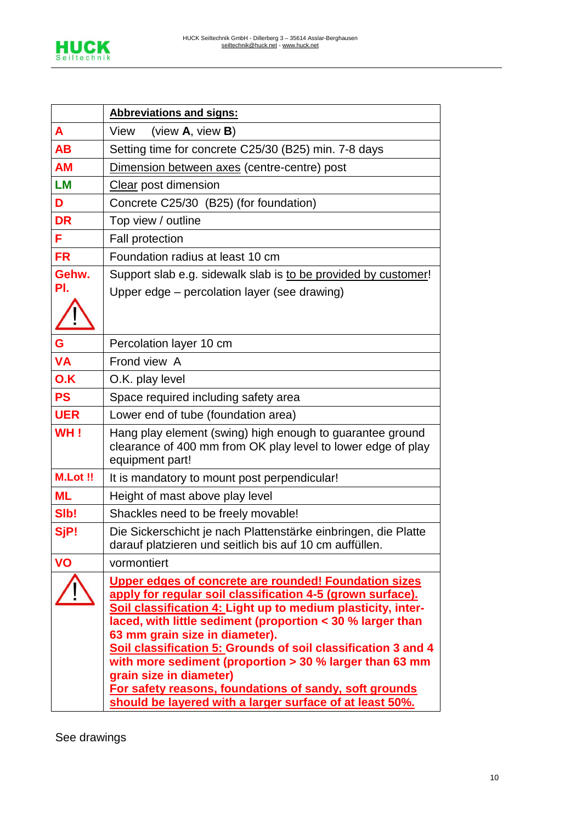

|                | <b>Abbreviations and signs:</b>                                                                                                                                                                                                                                                                                                                                                                                                                                                                               |  |  |  |  |  |  |
|----------------|---------------------------------------------------------------------------------------------------------------------------------------------------------------------------------------------------------------------------------------------------------------------------------------------------------------------------------------------------------------------------------------------------------------------------------------------------------------------------------------------------------------|--|--|--|--|--|--|
| A              | View<br>(view $A$ , view $B$ )                                                                                                                                                                                                                                                                                                                                                                                                                                                                                |  |  |  |  |  |  |
| <b>AB</b>      | Setting time for concrete C25/30 (B25) min. 7-8 days                                                                                                                                                                                                                                                                                                                                                                                                                                                          |  |  |  |  |  |  |
| <b>AM</b>      | Dimension between axes (centre-centre) post                                                                                                                                                                                                                                                                                                                                                                                                                                                                   |  |  |  |  |  |  |
| <b>LM</b>      | Clear post dimension                                                                                                                                                                                                                                                                                                                                                                                                                                                                                          |  |  |  |  |  |  |
| D              | Concrete C25/30 (B25) (for foundation)                                                                                                                                                                                                                                                                                                                                                                                                                                                                        |  |  |  |  |  |  |
| <b>DR</b>      | Top view / outline                                                                                                                                                                                                                                                                                                                                                                                                                                                                                            |  |  |  |  |  |  |
| F              | <b>Fall protection</b>                                                                                                                                                                                                                                                                                                                                                                                                                                                                                        |  |  |  |  |  |  |
| <b>FR</b>      | Foundation radius at least 10 cm                                                                                                                                                                                                                                                                                                                                                                                                                                                                              |  |  |  |  |  |  |
| Gehw.          | Support slab e.g. sidewalk slab is to be provided by customer!                                                                                                                                                                                                                                                                                                                                                                                                                                                |  |  |  |  |  |  |
| PI.            | Upper edge – percolation layer (see drawing)                                                                                                                                                                                                                                                                                                                                                                                                                                                                  |  |  |  |  |  |  |
|                |                                                                                                                                                                                                                                                                                                                                                                                                                                                                                                               |  |  |  |  |  |  |
| G              | Percolation layer 10 cm                                                                                                                                                                                                                                                                                                                                                                                                                                                                                       |  |  |  |  |  |  |
| <b>VA</b>      | Frond view A                                                                                                                                                                                                                                                                                                                                                                                                                                                                                                  |  |  |  |  |  |  |
| O.K            | O.K. play level                                                                                                                                                                                                                                                                                                                                                                                                                                                                                               |  |  |  |  |  |  |
| <b>PS</b>      | Space required including safety area                                                                                                                                                                                                                                                                                                                                                                                                                                                                          |  |  |  |  |  |  |
| <b>UER</b>     | Lower end of tube (foundation area)                                                                                                                                                                                                                                                                                                                                                                                                                                                                           |  |  |  |  |  |  |
| WH!            | Hang play element (swing) high enough to guarantee ground<br>clearance of 400 mm from OK play level to lower edge of play<br>equipment part!                                                                                                                                                                                                                                                                                                                                                                  |  |  |  |  |  |  |
| <b>M.Lot!!</b> | It is mandatory to mount post perpendicular!                                                                                                                                                                                                                                                                                                                                                                                                                                                                  |  |  |  |  |  |  |
| <b>ML</b>      | Height of mast above play level                                                                                                                                                                                                                                                                                                                                                                                                                                                                               |  |  |  |  |  |  |
| SIb!           | Shackles need to be freely movable!                                                                                                                                                                                                                                                                                                                                                                                                                                                                           |  |  |  |  |  |  |
| SjP!           | Die Sickerschicht je nach Plattenstärke einbringen, die Platte<br>darauf platzieren und seitlich bis auf 10 cm auffüllen.                                                                                                                                                                                                                                                                                                                                                                                     |  |  |  |  |  |  |
| <b>VO</b>      | vormontiert                                                                                                                                                                                                                                                                                                                                                                                                                                                                                                   |  |  |  |  |  |  |
|                | <b>Upper edges of concrete are rounded! Foundation sizes</b><br>apply for regular soil classification 4-5 (grown surface).<br>Soil classification 4: Light up to medium plasticity, inter-<br>laced, with little sediment (proportion < 30 % larger than<br>63 mm grain size in diameter).<br>Soil classification 5: Grounds of soil classification 3 and 4<br>with more sediment (proportion $>$ 30 % larger than 63 mm<br>grain size in diameter)<br>For safety reasons, foundations of sandy, soft grounds |  |  |  |  |  |  |
|                | should be layered with a larger surface of at least 50%.                                                                                                                                                                                                                                                                                                                                                                                                                                                      |  |  |  |  |  |  |

See drawings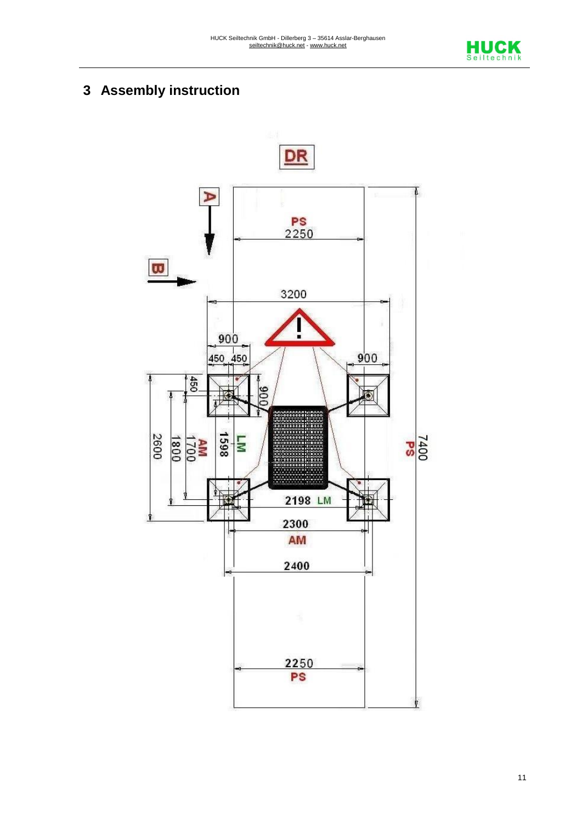

# **3 Assembly instruction**

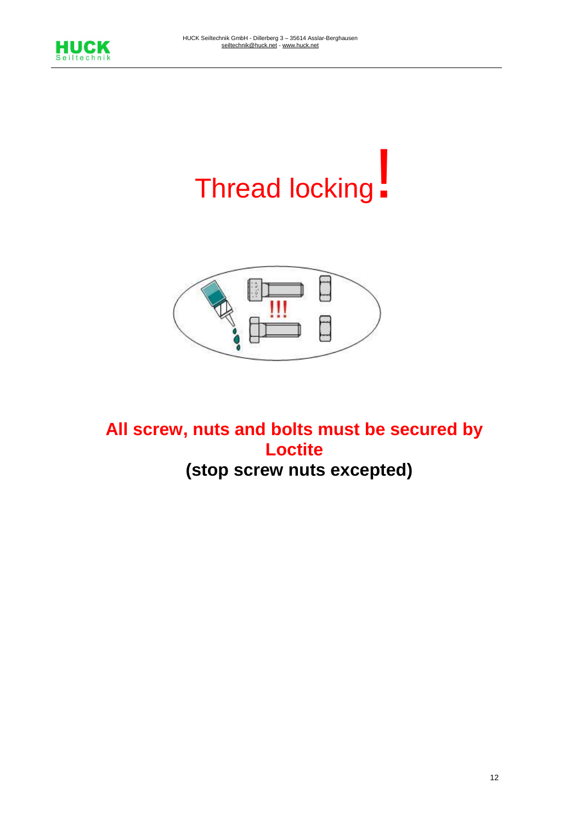

# Thread locking!



**All screw, nuts and bolts must be secured by Loctite (stop screw nuts excepted)**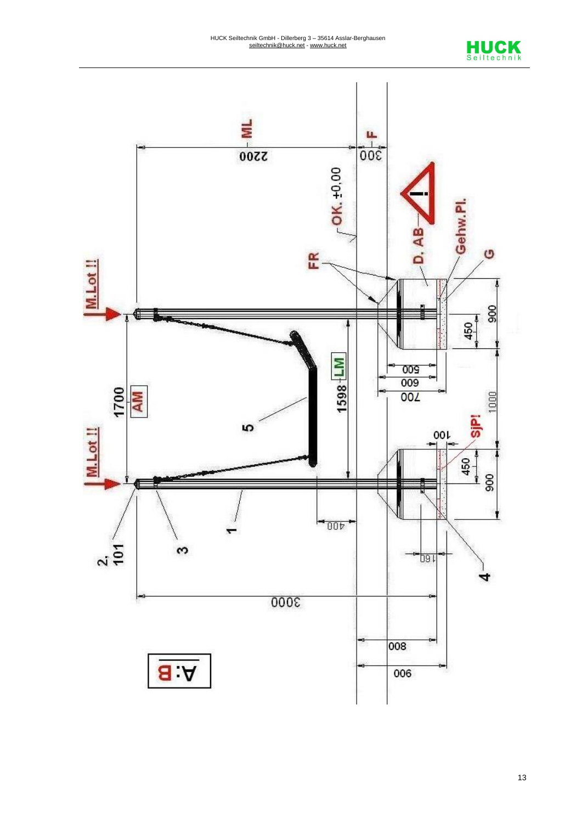

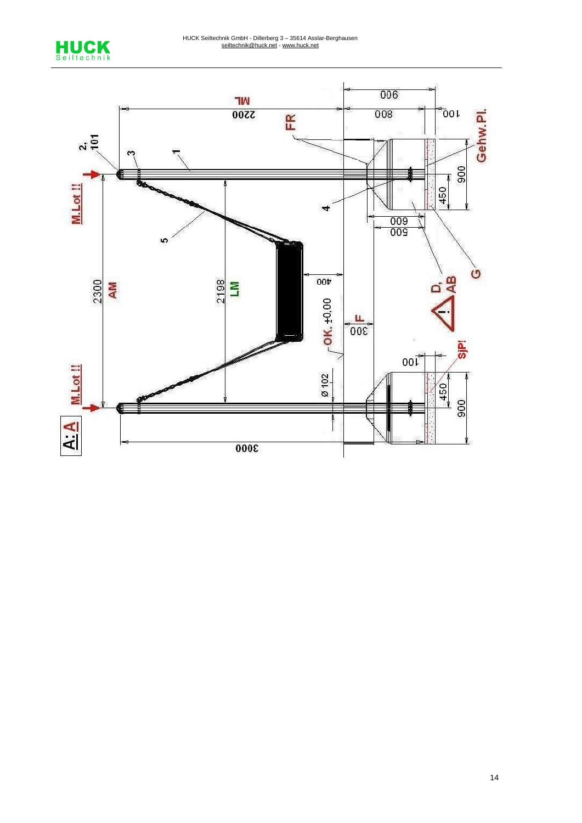

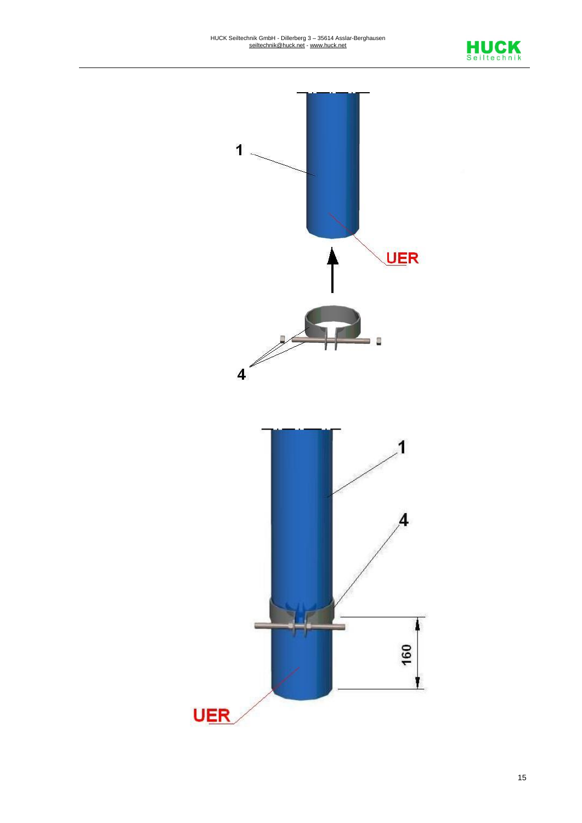

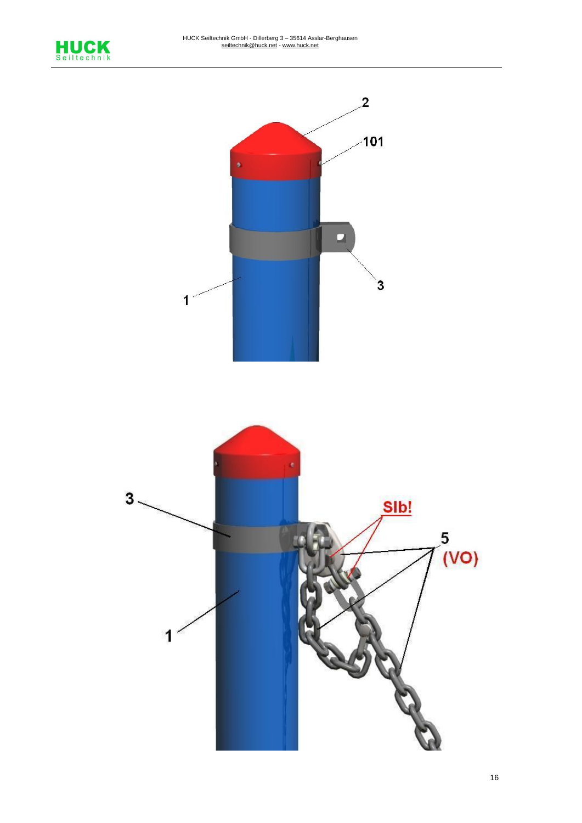

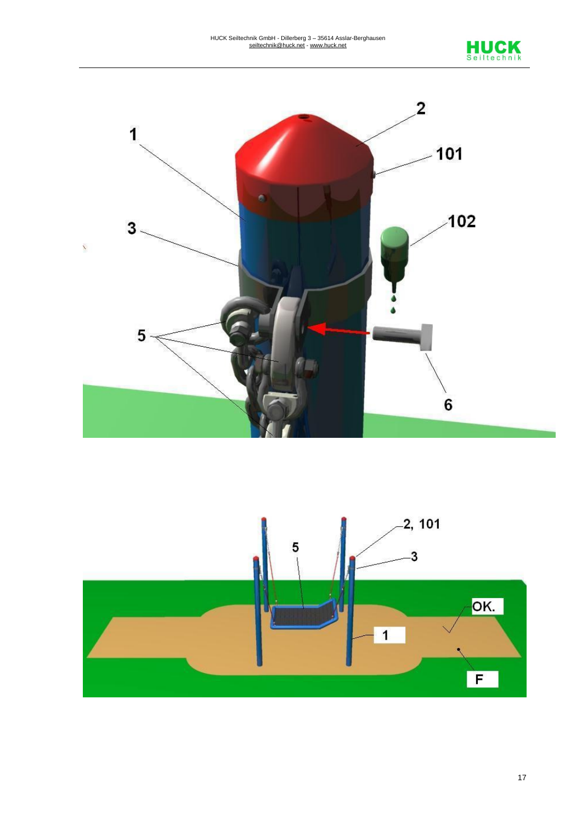



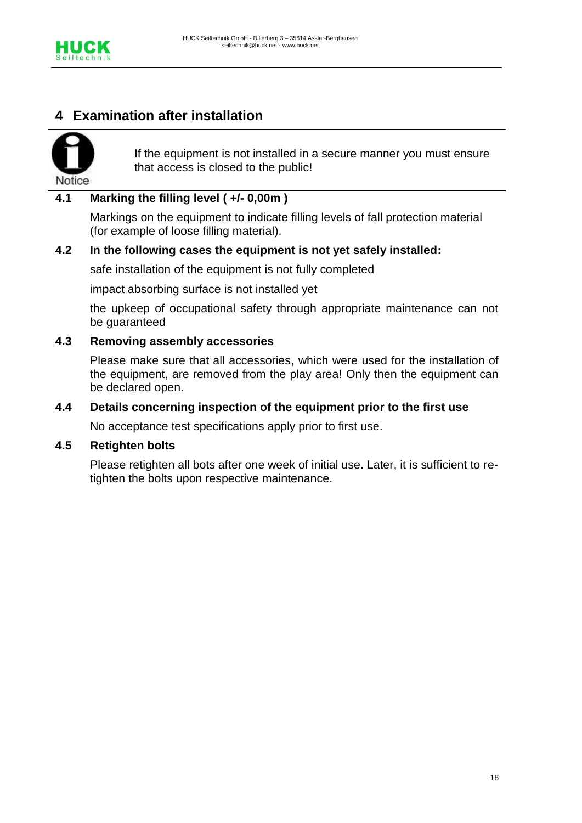

## **4 Examination after installation**



If the equipment is not installed in a secure manner you must ensure that access is closed to the public!

#### **4.1 Marking the filling level ( +/- 0,00m )**

Markings on the equipment to indicate filling levels of fall protection material (for example of loose filling material).

#### **4.2 In the following cases the equipment is not yet safely installed:**

safe installation of the equipment is not fully completed

impact absorbing surface is not installed yet

the upkeep of occupational safety through appropriate maintenance can not be guaranteed

#### **4.3 Removing assembly accessories**

Please make sure that all accessories, which were used for the installation of the equipment, are removed from the play area! Only then the equipment can be declared open.

#### **4.4 Details concerning inspection of the equipment prior to the first use**

No acceptance test specifications apply prior to first use.

#### **4.5 Retighten bolts**

Please retighten all bots after one week of initial use. Later, it is sufficient to retighten the bolts upon respective maintenance.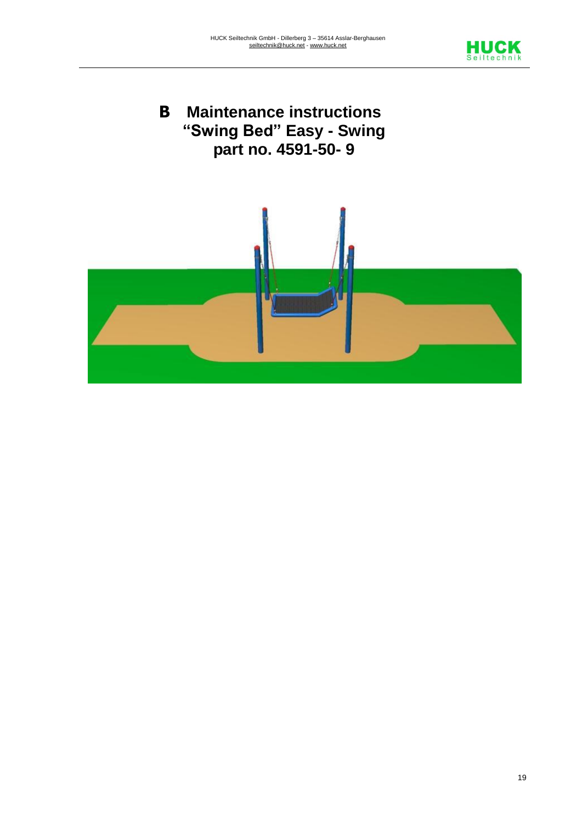

# **B Maintenance instructions "Swing Bed" Easy - Swing part no. 4591-50- 9**

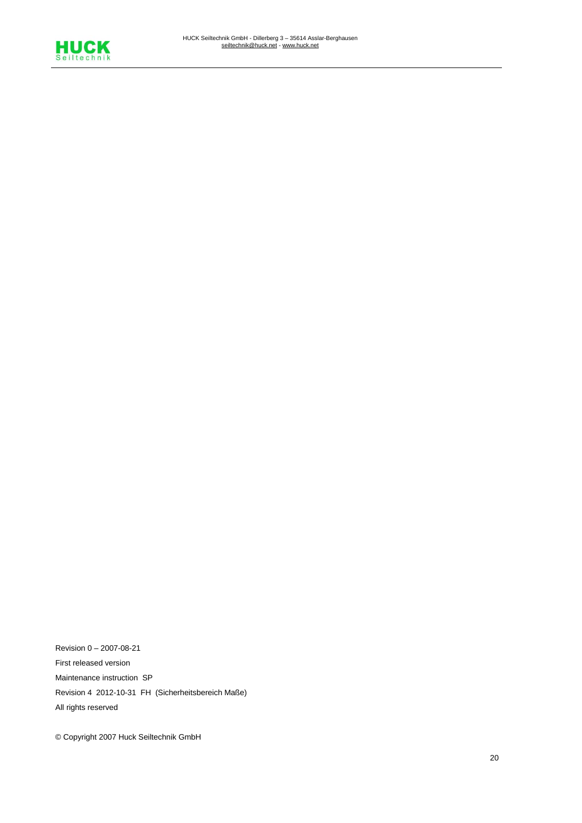

Revision 0 – 2007-08-21 First released version Maintenance instruction SP Revision 4 2012-10-31 FH (Sicherheitsbereich Maße) All rights reserved

© Copyright 2007 Huck Seiltechnik GmbH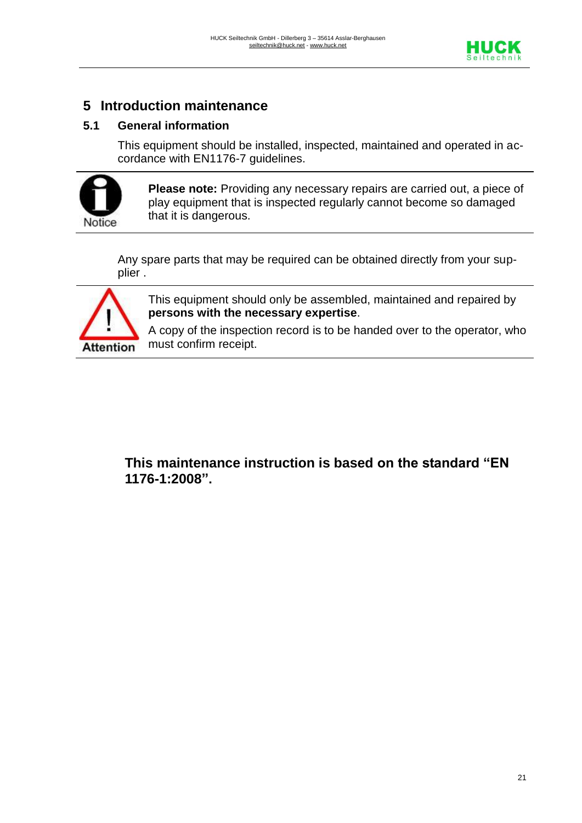

## **5 Introduction maintenance**

#### **5.1 General information**

This equipment should be installed, inspected, maintained and operated in accordance with EN1176-7 guidelines.



**Please note:** Providing any necessary repairs are carried out, a piece of play equipment that is inspected regularly cannot become so damaged that it is dangerous.

Any spare parts that may be required can be obtained directly from your supplier .



This equipment should only be assembled, maintained and repaired by **persons with the necessary expertise**.

A copy of the inspection record is to be handed over to the operator, who must confirm receipt.

**This maintenance instruction is based on the standard "EN 1176-1:2008".**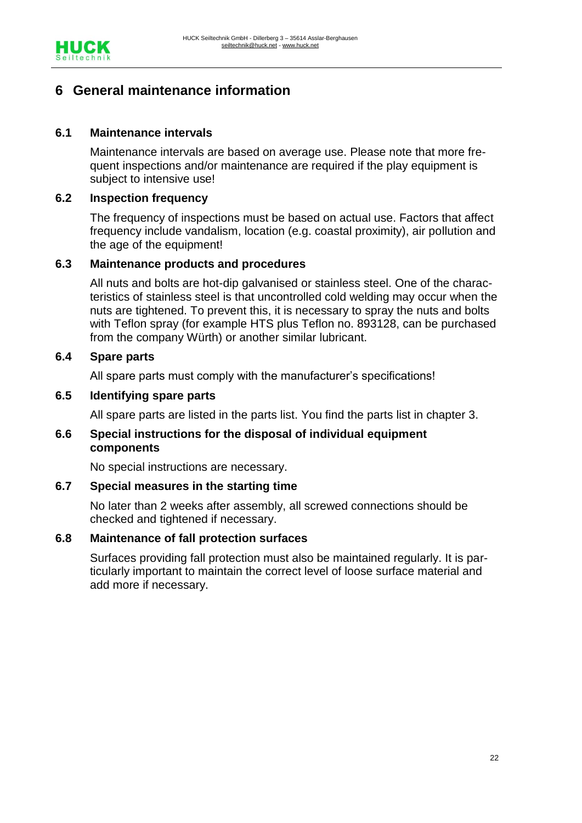

## **6 General maintenance information**

#### **6.1 Maintenance intervals**

Maintenance intervals are based on average use. Please note that more frequent inspections and/or maintenance are required if the play equipment is subject to intensive use!

#### **6.2 Inspection frequency**

The frequency of inspections must be based on actual use. Factors that affect frequency include vandalism, location (e.g. coastal proximity), air pollution and the age of the equipment!

#### **6.3 Maintenance products and procedures**

All nuts and bolts are hot-dip galvanised or stainless steel. One of the characteristics of stainless steel is that uncontrolled cold welding may occur when the nuts are tightened. To prevent this, it is necessary to spray the nuts and bolts with Teflon spray (for example HTS plus Teflon no. 893128, can be purchased from the company Würth) or another similar lubricant.

#### **6.4 Spare parts**

All spare parts must comply with the manufacturer's specifications!

#### **6.5 Identifying spare parts**

All spare parts are listed in the parts list. You find the parts list in chapter 3.

#### **6.6 Special instructions for the disposal of individual equipment components**

No special instructions are necessary.

#### **6.7 Special measures in the starting time**

No later than 2 weeks after assembly, all screwed connections should be checked and tightened if necessary.

#### **6.8 Maintenance of fall protection surfaces**

Surfaces providing fall protection must also be maintained regularly. It is particularly important to maintain the correct level of loose surface material and add more if necessary.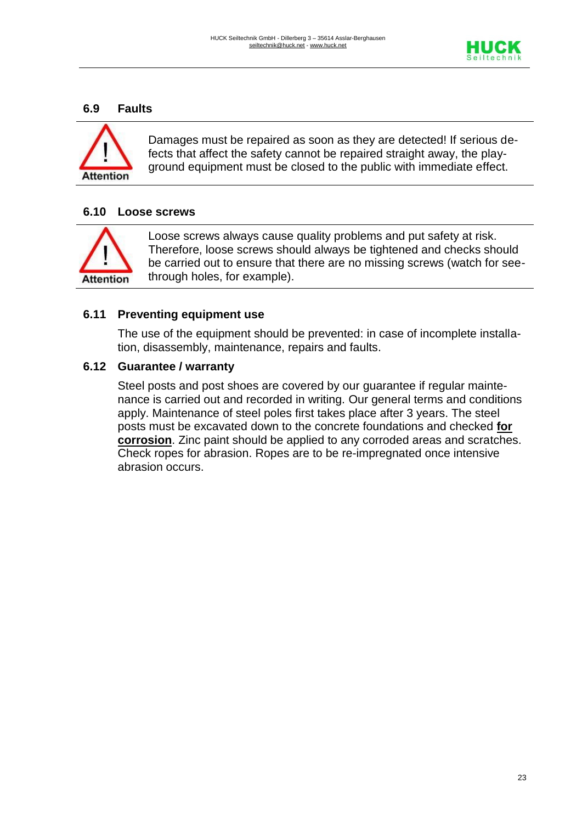

#### **6.9 Faults**



Damages must be repaired as soon as they are detected! If serious defects that affect the safety cannot be repaired straight away, the playground equipment must be closed to the public with immediate effect.

#### **6.10 Loose screws**



Loose screws always cause quality problems and put safety at risk. Therefore, loose screws should always be tightened and checks should be carried out to ensure that there are no missing screws (watch for seethrough holes, for example).

#### **6.11 Preventing equipment use**

The use of the equipment should be prevented: in case of incomplete installation, disassembly, maintenance, repairs and faults.

#### **6.12 Guarantee / warranty**

Steel posts and post shoes are covered by our guarantee if regular maintenance is carried out and recorded in writing. Our general terms and conditions apply. Maintenance of steel poles first takes place after 3 years. The steel posts must be excavated down to the concrete foundations and checked **for corrosion**. Zinc paint should be applied to any corroded areas and scratches. Check ropes for abrasion. Ropes are to be re-impregnated once intensive abrasion occurs.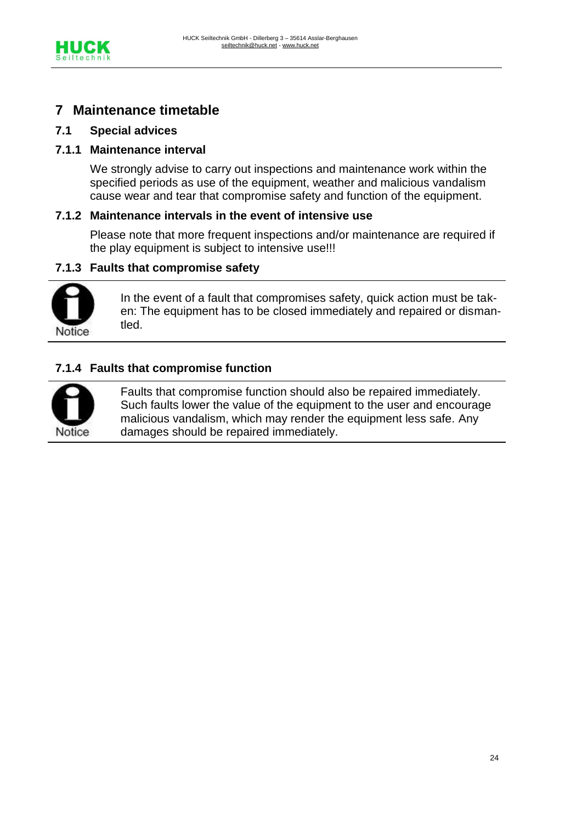

## **7 Maintenance timetable**

#### **7.1 Special advices**

#### **7.1.1 Maintenance interval**

We strongly advise to carry out inspections and maintenance work within the specified periods as use of the equipment, weather and malicious vandalism cause wear and tear that compromise safety and function of the equipment.

#### **7.1.2 Maintenance intervals in the event of intensive use**

Please note that more frequent inspections and/or maintenance are required if the play equipment is subject to intensive use!!!

#### **7.1.3 Faults that compromise safety**



In the event of a fault that compromises safety, quick action must be taken: The equipment has to be closed immediately and repaired or dismantled.

#### **7.1.4 Faults that compromise function**



Faults that compromise function should also be repaired immediately. Such faults lower the value of the equipment to the user and encourage malicious vandalism, which may render the equipment less safe. Any damages should be repaired immediately.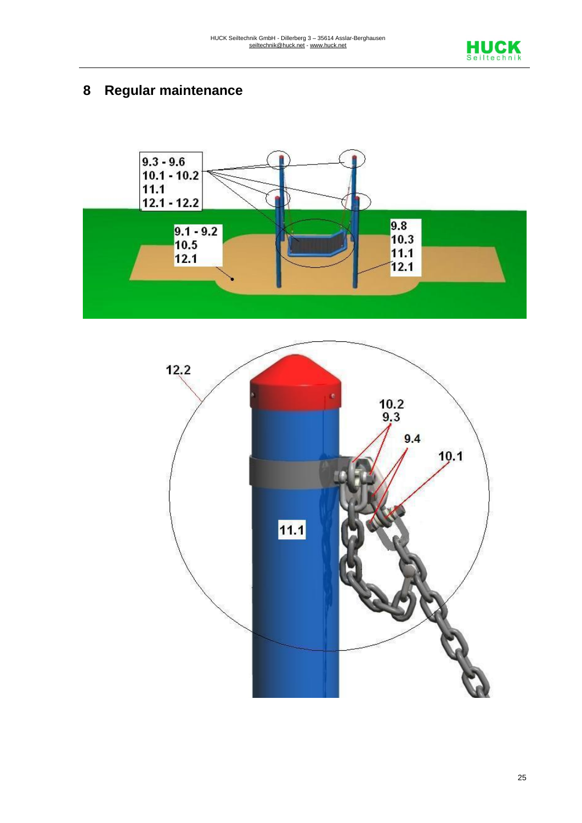

# **8 Regular maintenance**



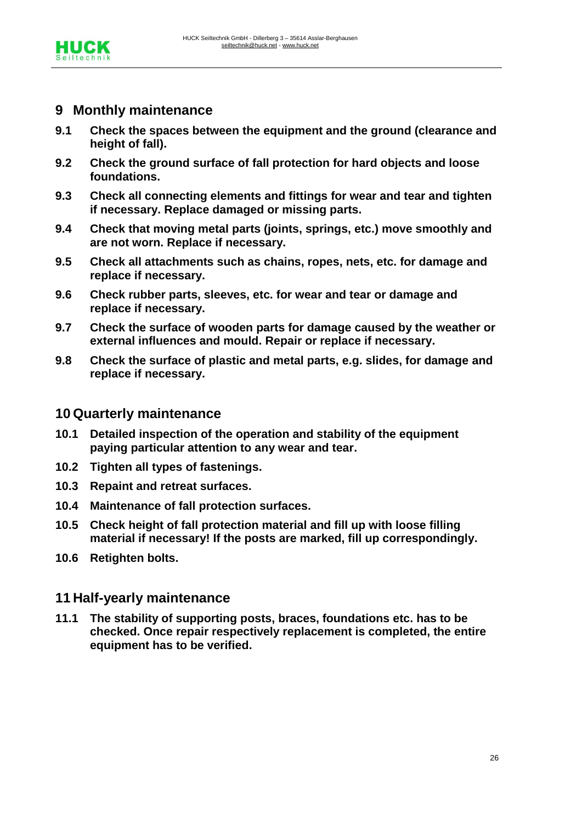

## **9 Monthly maintenance**

- **9.1 Check the spaces between the equipment and the ground (clearance and height of fall).**
- **9.2 Check the ground surface of fall protection for hard objects and loose foundations.**
- **9.3 Check all connecting elements and fittings for wear and tear and tighten if necessary. Replace damaged or missing parts.**
- **9.4 Check that moving metal parts (joints, springs, etc.) move smoothly and are not worn. Replace if necessary.**
- **9.5 Check all attachments such as chains, ropes, nets, etc. for damage and replace if necessary.**
- **9.6 Check rubber parts, sleeves, etc. for wear and tear or damage and replace if necessary.**
- **9.7 Check the surface of wooden parts for damage caused by the weather or external influences and mould. Repair or replace if necessary.**
- **9.8 Check the surface of plastic and metal parts, e.g. slides, for damage and replace if necessary.**

#### **10 Quarterly maintenance**

- **10.1 Detailed inspection of the operation and stability of the equipment paying particular attention to any wear and tear.**
- **10.2 Tighten all types of fastenings.**
- **10.3 Repaint and retreat surfaces.**
- **10.4 Maintenance of fall protection surfaces.**
- **10.5 Check height of fall protection material and fill up with loose filling material if necessary! If the posts are marked, fill up correspondingly.**
- **10.6 Retighten bolts.**

#### **11 Half-yearly maintenance**

**11.1 The stability of supporting posts, braces, foundations etc. has to be checked. Once repair respectively replacement is completed, the entire equipment has to be verified.**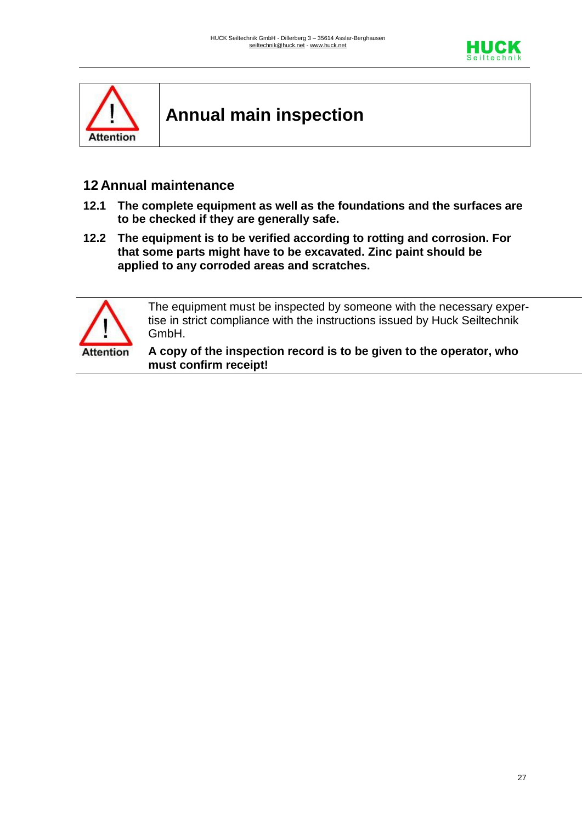



**Annual main inspection**

## **12 Annual maintenance**

- **12.1 The complete equipment as well as the foundations and the surfaces are to be checked if they are generally safe.**
- **12.2 The equipment is to be verified according to rotting and corrosion. For that some parts might have to be excavated. Zinc paint should be applied to any corroded areas and scratches.**



The equipment must be inspected by someone with the necessary expertise in strict compliance with the instructions issued by Huck Seiltechnik GmbH.

**A copy of the inspection record is to be given to the operator, who must confirm receipt!**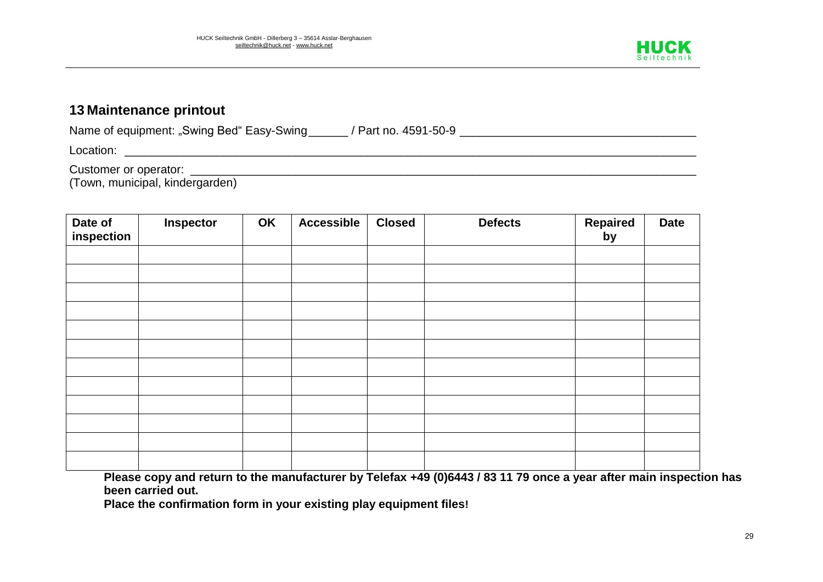

## **13 Maintenance printout**

Name of equipment: "Swing Bed" Easy-Swing\_\_\_\_\_\_ / Part no. 4591-50-9 \_\_\_\_\_\_\_\_\_\_\_\_\_\_\_\_\_\_\_\_\_\_\_\_\_\_\_\_\_\_\_\_\_\_\_\_ Location: \_\_\_\_\_\_\_\_\_\_\_\_\_\_\_\_\_\_\_\_\_\_\_\_\_\_\_\_\_\_\_\_\_\_\_\_\_\_\_\_\_\_\_\_\_\_\_\_\_\_\_\_\_\_\_\_\_\_\_\_\_\_\_\_\_\_\_\_\_\_\_\_\_\_\_\_\_\_\_\_\_\_\_\_\_\_\_

Customer or operator: \_\_\_\_\_\_\_\_\_\_\_\_\_\_\_\_\_\_\_\_\_\_\_\_\_\_\_\_\_\_\_\_\_\_\_\_\_\_\_\_\_\_\_\_\_\_\_\_\_\_\_\_\_\_\_\_\_\_\_\_\_\_\_\_\_\_\_\_\_\_\_\_\_\_\_\_\_

(Town, municipal, kindergarden)

| Date of<br>inspection | Inspector | OK | <b>Accessible</b> | <b>Closed</b> | <b>Defects</b> | <b>Repaired</b><br>by | <b>Date</b> |
|-----------------------|-----------|----|-------------------|---------------|----------------|-----------------------|-------------|
|                       |           |    |                   |               |                |                       |             |
|                       |           |    |                   |               |                |                       |             |
|                       |           |    |                   |               |                |                       |             |
|                       |           |    |                   |               |                |                       |             |
|                       |           |    |                   |               |                |                       |             |
|                       |           |    |                   |               |                |                       |             |
|                       |           |    |                   |               |                |                       |             |
|                       |           |    |                   |               |                |                       |             |
|                       |           |    |                   |               |                |                       |             |
|                       |           |    |                   |               |                |                       |             |
|                       |           |    |                   |               |                |                       |             |
|                       |           |    |                   |               |                |                       |             |

**Please copy and return to the manufacturer by Telefax +49 (0)6443 / 83 11 79 once a year after main inspection has been carried out.**

**Place the confirmation form in your existing play equipment files!**